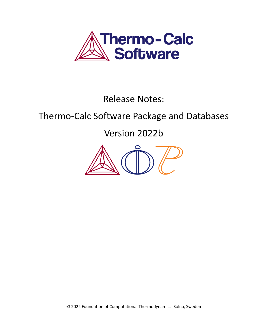

Release Notes:

# Thermo-Calc Software Package and Databases

Version 2022b



© 2022 Foundation of Computational Thermodynamics: Solna, Sweden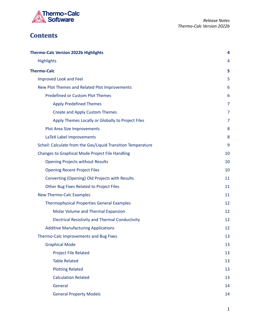

# **Contents**

| <b>Thermo-Calc Version 2022b Highlights</b>                  | 4              |
|--------------------------------------------------------------|----------------|
| <b>Highlights</b>                                            | 4              |
| <b>Thermo-Calc</b>                                           | 5              |
| Improved Look and Feel                                       | 5              |
| New Plot Themes and Related Plot Improvements                | 6              |
| <b>Predefined or Custom Plot Themes</b>                      | 6              |
| <b>Apply Predefined Themes</b>                               | 7              |
| <b>Create and Apply Custom Themes</b>                        | $\overline{7}$ |
| Apply Themes Locally or Globally to Project Files            | $\overline{7}$ |
| Plot Area Size Improvements                                  | 8              |
| LaTeX Label Improvements                                     | 8              |
| Scheil: Calculate from the Gas/Liquid Transition Temperature | 9              |
| Changes to Graphical Mode Project File Handling              | 10             |
| <b>Opening Projects without Results</b>                      | 10             |
| <b>Opening Recent Project Files</b>                          | 10             |
| Converting (Opening) Old Projects with Results               | 11             |
| Other Bug Fixes Related to Project Files                     | 11             |
| <b>New Thermo-Calc Examples</b>                              | 11             |
| <b>Thermophysical Properties General Examples</b>            | 12             |
| Molar Volume and Thermal Expansion                           | 12             |
| <b>Electrical Resistivity and Thermal Conductivity</b>       | 12             |
| <b>Additive Manufacturing Applications</b>                   | 12             |
| Thermo-Calc Improvements and Bug Fixes                       | 13             |
| <b>Graphical Mode</b>                                        | 13             |
| Project File Related                                         | 13             |
| <b>Table Related</b>                                         | 13             |
| <b>Plotting Related</b>                                      | 13             |
| <b>Calculation Related</b>                                   | 13             |
| General                                                      | 14             |
| <b>General Property Models</b>                               | 14             |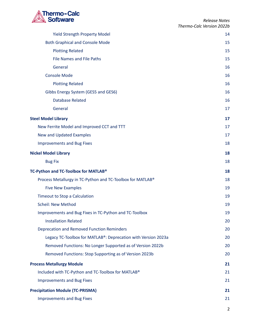

| <b>Yield Strength Property Model</b>                          | 14 |
|---------------------------------------------------------------|----|
| <b>Both Graphical and Console Mode</b>                        | 15 |
| <b>Plotting Related</b>                                       | 15 |
| <b>File Names and File Paths</b>                              | 15 |
| General                                                       | 16 |
| <b>Console Mode</b>                                           | 16 |
| <b>Plotting Related</b>                                       | 16 |
| Gibbs Energy System (GES5 and GES6)                           | 16 |
| <b>Database Related</b>                                       | 16 |
| General                                                       | 17 |
| <b>Steel Model Library</b>                                    | 17 |
| New Ferrite Model and Improved CCT and TTT                    | 17 |
| New and Updated Examples                                      | 17 |
| <b>Improvements and Bug Fixes</b>                             | 18 |
| <b>Nickel Model Library</b>                                   | 18 |
| <b>Bug Fix</b>                                                | 18 |
| TC-Python and TC-Toolbox for MATLAB <sup>®</sup>              | 18 |
| Process Metallurgy in TC-Python and TC-Toolbox for MATLAB®    | 18 |
| <b>Five New Examples</b>                                      | 19 |
| Timeout to Stop a Calculation                                 | 19 |
| <b>Scheil: New Method</b>                                     | 19 |
| Improvements and Bug Fixes in TC-Python and TC-Toolbox        | 19 |
| <b>Installation Related</b>                                   | 20 |
| <b>Deprecation and Removed Function Reminders</b>             | 20 |
| Legacy TC-Toolbox for MATLAB®: Deprecation with Version 2023a | 20 |
| Removed Functions: No Longer Supported as of Version 2022b    | 20 |
| Removed Functions: Stop Supporting as of Version 2023b        | 20 |
| <b>Process Metallurgy Module</b>                              | 21 |
| Included with TC-Python and TC-Toolbox for MATLAB®            | 21 |
| <b>Improvements and Bug Fixes</b>                             | 21 |
| <b>Precipitation Module (TC-PRISMA)</b>                       | 21 |
| <b>Improvements and Bug Fixes</b>                             | 21 |
|                                                               |    |

2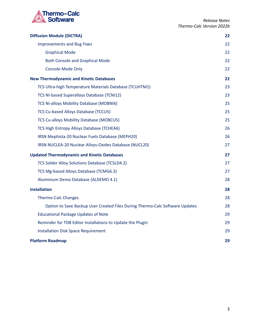

| <b>Diffusion Module (DICTRA)</b>                                             | 22 |
|------------------------------------------------------------------------------|----|
| <b>Improvements and Bug Fixes</b>                                            | 22 |
| <b>Graphical Mode</b>                                                        | 22 |
| <b>Both Console and Graphical Mode</b>                                       | 22 |
| Console Mode Only                                                            | 22 |
| <b>New Thermodynamic and Kinetic Databases</b>                               | 22 |
| TCS Ultra-high Temperature Materials Database (TCUHTM1)                      | 23 |
| TCS Ni-based Superalloys Database (TCNI12)                                   | 23 |
| TCS Ni-alloys Mobility Database (MOBNI6)                                     | 25 |
| <b>TCS Cu-based Alloys Database (TCCU5)</b>                                  | 25 |
| <b>TCS Cu-alloys Mobility Database (MOBCU5)</b>                              | 25 |
| TCS High Entropy Alloys Database (TCHEA6)                                    | 26 |
| IRSN Mephista-20 Nuclear Fuels Database (MEPH20)                             | 26 |
| IRSN NUCLEA-20 Nuclear Alloys-Oxides Database (NUCL20)                       | 27 |
| <b>Updated Thermodynamic and Kinetic Databases</b>                           | 27 |
| TCS Solder Alloy Solutions Database (TCSLD4.2)                               | 27 |
| TCS Mg-based Alloys Database (TCMG6.3)                                       | 27 |
| Aluminium Demo Database (ALDEMO 4.1)                                         | 28 |
| <b>Installation</b>                                                          | 28 |
| <b>Thermo-Calc Changes</b>                                                   | 28 |
| Option to Save Backup User Created Files During Thermo-Calc Software Updates | 28 |
| <b>Educational Package Updates of Note</b>                                   | 29 |
| Reminder for TDB Editor Installations to Update the Plugin                   | 29 |
| <b>Installation Disk Space Requirement</b>                                   | 29 |
| <b>Platform Roadmap</b>                                                      | 29 |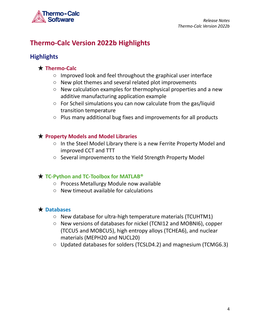

# <span id="page-4-0"></span>**Thermo-Calc Version 2022b Highlights**

# <span id="page-4-1"></span>**Highlights**

### ★ **Thermo-Calc**

- Improved look and feel throughout the graphical user interface
- New plot themes and several related plot improvements
- New calculation examples for thermophysical properties and a new additive manufacturing application example
- For Scheil simulations you can now calculate from the gas/liquid transition temperature
- Plus many additional bug fixes and improvements for all products

### ★ **Property Models and Model Libraries**

- In the Steel Model Library there is a new Ferrite Property Model and improved CCT and TTT
- Several improvements to the Yield Strength Property Model

### ★ **TC-Python and TC-Toolbox for MATLAB®**

- Process Metallurgy Module now available
- New timeout available for calculations

### ★ **Databases**

- New database for ultra-high temperature materials (TCUHTM1)
- New versions of databases for nickel (TCNI12 and MOBNI6), copper (TCCU5 and MOBCU5), high entropy alloys (TCHEA6), and nuclear materials (MEPH20 and NUCL20)
- Updated databases for solders (TCSLD4.2) and magnesium (TCMG6.3)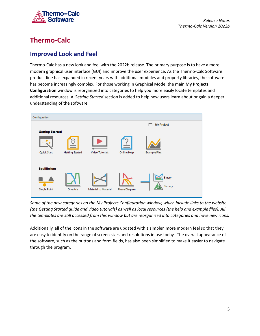

# <span id="page-5-0"></span>**Thermo-Calc**

## <span id="page-5-1"></span>**Improved Look and Feel**

Thermo-Calc has a new look and feel with the 2022b release. The primary purpose is to have a more modern graphical user interface (GUI) and improve the user experience. As the Thermo-Calc Software product line has expanded in recent years with additional modules and property libraries, the software has become increasingly complex. For those working in Graphical Mode, the main **My Projects Configuration** window is reorganized into categories to help you more easily locate templates and additional resources. A *Getting Started* section is added to help new users learn about or gain a deeper understanding of the software.



*Some of the new categories on the My Projects Configuration window, which include links to the website* (the Getting Started guide and video tutorials) as well as local resources (the help and example files). All *the templates are still accessed from this window but are reorganized into categories and have new icons.*

Additionally, all of the icons in the software are updated with a simpler, more modern feel so that they are easy to identify on the range of screen sizes and resolutions in use today. The overall appearance of the software, such as the buttons and form fields, has also been simplified to make it easier to navigate through the program.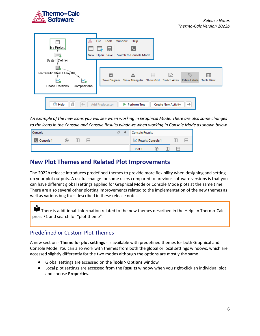

| My Project<br>inus.<br>System Definer                                       | Tools<br>Window<br>Help<br>File<br>ы<br>Switch to Console Mode<br>New Open Save                                       |
|-----------------------------------------------------------------------------|-----------------------------------------------------------------------------------------------------------------------|
| 囲<br>Martensitic Steel / Alloy 800<br>M.<br>Phase Fractions<br>Compositions | 带<br>IC.<br>⇖<br>睜<br>Save Diagram Show Triangular Show Grid Switch Axes<br><b>Table View</b><br><b>Retain Labels</b> |
| 昌<br>$\circled{?}$<br>Help<br>$\leftarrow$                                  | $\rightarrow$<br>Add Predecessor<br>Perform Tree<br><b>Create New Activity</b>                                        |

An example of the new icons you will see when working in Graphical Mode. There are also some changes to the icons in the Console and Console Results windows when working in Console Mode as shown below.

| Console        |   |  | 口<br> | 工 | <b>Console Results</b> |                     |  |  |
|----------------|---|--|-------|---|------------------------|---------------------|--|--|
| Console 1<br>œ | Œ |  |       |   |                        | ■ Results Console 1 |  |  |
|                |   |  |       |   | Plot <sub>1</sub>      |                     |  |  |

### <span id="page-6-0"></span>**New Plot Themes and Related Plot Improvements**

The 2022b release introduces predefined themes to provide more flexibility when designing and setting up your plot outputs. A useful change for some users compared to previous software versions is that you can have different global settings applied for Graphical Mode or Console Mode plots at the same time. There are also several other plotting improvements related to the implementation of the new themes as well as various bug fixes described in these release notes.

There is additional information related to the new themes described in the Help. In Thermo-Calc press F1 and search for "plot theme".

### <span id="page-6-1"></span>Predefined or Custom Plot Themes

A new section - **Theme for plot settings** - is available with predefined themes for both Graphical and Console Mode. You can also work with themes from both the global or local settings windows, which are accessed slightly differently for the two modes although the options are mostly the same.

- Global settings are accessed on the **Tools > Options** window.
- Local plot settings are accessed from the **Results** window when you right-click an individual plot and choose **Properties**.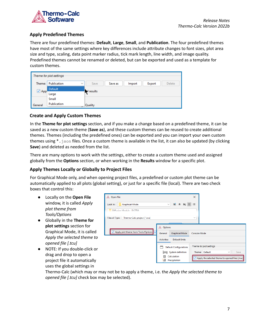

#### <span id="page-7-0"></span>**Apply Predefined Themes**

There are four predefined themes: **Default**, **Large**, **Small**, and **Publication**. The four predefined themes have most of the same settings where key differences include attribute changes to font sizes, plot area size and type, scaling, data point marker radius, tick mark length, line width, and image quality. Predefined themes cannot be renamed or deleted, but can be exported and used as a template for custom themes.

|            | $\Gamma$ Theme for plot settings |                                               |
|------------|----------------------------------|-----------------------------------------------|
| Theme:     | Publication<br>$\checkmark$      | Save as<br>Export<br>Delete<br>Save<br>Import |
|            | Default                          |                                               |
| $\Box$ App | Large                            | d results                                     |
|            | Small                            |                                               |
| General    | Publication                      | Quality                                       |

#### <span id="page-7-1"></span>**Create and Apply Custom Themes**

In the **Theme for plot settings** section, and if you make a change based on a predefined theme, it can be saved as a new custom theme (**Save as**), and these custom themes can be reused to create additional themes. Themes (including the predefined ones) can be exported and you can import your own custom themes using \*.json files. Once a custom theme is available in the list, it can also be updated (by clicking **Save**) and deleted as needed from the list.

There are many options to work with the settings, either to create a custom theme used and assigned globally from the **Options** section, or when working in the **Results** window for a specific plot.

#### <span id="page-7-2"></span>**Apply Themes Locally or Globally to Project Files**

For Graphical Mode only, and when opening project files, a predefined or custom plot theme can be automatically applied to all plots (global setting), or just for a specific file (local). There are two check boxes that control this:

- Locally on the **Open File** window, it is called *Apply plot theme from Tools/Options*
- Globally in the **Theme for plot settings** section for Graphical Mode, it is called *Apply the selected theme to opened file [.tcu]*
- NOTE: If you double-click or drag and drop to open a project file it automatically uses the global settings in



Thermo-Calc (which may or may not be to apply a theme, i.e. the *Apply the selected theme to opened file [.tcu]* check box may be selected).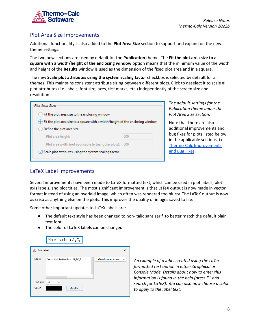

### <span id="page-8-0"></span>Plot Area Size Improvements

Additional functionality is also added to the **Plot Area Size** section to support and expand on the new theme settings.

The two new sections are used by default for the **Publication** theme. The **Fit the plot area size to a square with a width/height of the enclosing window** option means that the minimum value of the width and height of the **Results** window is used as the dimension of the fixed plot area and in a square.

The new **Scale plot attributes using the system scaling factor** checkbox is selected by default for all themes. This maintains consistent attribute sizing between different plots. Click to deselect it to scale all plot attributes (i.e. labels, font size, axes, tick marks, etc.) independently of the screen size and resolution.

| Plot Area Size                                                                     |     |  |  |
|------------------------------------------------------------------------------------|-----|--|--|
| Fit the plot area size to the enclosing window                                     |     |  |  |
| (.) Fit the plot area size to a square with a width/height of the enclosing window |     |  |  |
| Define the plot area size                                                          |     |  |  |
| Plot area height:                                                                  | 600 |  |  |
| 600<br>Plot area width (not applicable to triangular plots):                       |     |  |  |
| $\vee$ Scale plot attributes using the system scaling factor                       |     |  |  |

*The default settings for the Publication theme under the Plot Area Size section.*

Note that there are also additional improvements and bug fixes for plots listed below in the applicable sections, i.e. Thermo-Calc Improvements and Bug Fixes.

### <span id="page-8-1"></span>LaTeX Label Improvements

Several improvements have been made to LaTeX formatted text, which can be used in plot labels, plot axis labels, and plot titles. The most significant improvement is that LaTeX output is now made in vector format instead of using an overlaid image, which often was rendered too blurry. The LaTeX output is now as crisp as anything else on the plots. This improves the quality of images saved to file.

Some other important updates to LaTeX labels are:

- The default text style has been changed to non-italic sans serif, to better match the default plain text font.
- The color of LaTeX labels can be changed.

|                   | Mole-fraction $Al_2O_3$        |                                      |
|-------------------|--------------------------------|--------------------------------------|
| <b>Edit Label</b> |                                | ×                                    |
| Label:            | \textsf{Mole-fraction }Al_2O_3 | LaTeX-formatted text<br>$\checkmark$ |
| Text size:        | 16<br>$\checkmark$             |                                      |
| Color:            | Modify                         |                                      |

*An example of a label created using the LaTex formatted text option in either Graphical or Console Mode. Details about how to enter this information is found in the help (press F1 and search for LaTeX). You can also now choose a color to apply to the label text.*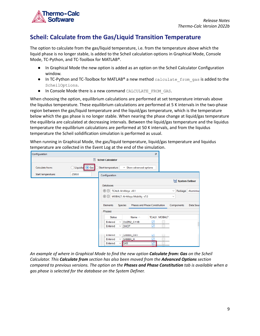

# <span id="page-9-0"></span>**Scheil: Calculate from the Gas/Liquid Transition Temperature**

The option to calculate from the gas/liquid temperature, i.e. from the temperature above which the liquid phase is no longer stable, is added to the Scheil calculation options in Graphical Mode, Console Mode, TC-Python, and TC-Toolbox for MATLAB®.

- In Graphical Mode the new option is added as an option on the Scheil Calculator Configuration window.
- In TC-Python and TC-Toolbox for MATLAB® a new method calculate from gas is added to the ScheilOptions.
- In Console Mode there is a new command CALCULATE\_FROM\_GAS.

When choosing the option, equilibrium calculations are performed at set temperature intervals above the liquidus temperature. These equilibrium calculations are performed at 5 K intervals in the two-phase region between the gas/liquid temperature and the liquid/gas temperature, which is the temperature below which the gas phase is no longer stable. When nearing the phase change at liquid/gas temperature the equilibria are calculated at decreasing intervals. Between the liquid/gas temperature and the liquidus temperature the equilibrium calculations are performed at 50 K intervals, and from the liquidus temperature the Scheil solidification simulation is performed as usual.

When running in Graphical Mode, the gas/liquid temperature, liquid/gas temperature and liquidus temperature are collected in the Event Log at the end of the simulation.

| Configuration                |                                                |                                                        | ō                                  |
|------------------------------|------------------------------------------------|--------------------------------------------------------|------------------------------------|
|                              | <b>For</b><br><b>Scheil Calculator</b>         |                                                        |                                    |
| Calculate from:              | Liquidus <sup>O</sup> Gas<br>Start temperature | ▼ Show advanced options                                |                                    |
| 2500.0<br>Start temperature: | Configuration                                  |                                                        |                                    |
|                              |                                                |                                                        | System Definer                     |
|                              | <b>Databases</b>                               |                                                        |                                    |
|                              | $\Theta$ $\Theta$                              | TCAL8: Al-Alloys v8.1                                  | Package: Aluminius<br>$\checkmark$ |
|                              |                                                | $\bigoplus$ MOBAL7: Al-Alloys Mobility v7.0            | $\checkmark$                       |
|                              |                                                |                                                        |                                    |
|                              | Elements                                       | <b>Species</b><br><b>Phases and Phase Constitution</b> | Data Sour<br>Components            |
|                              | Phases                                         |                                                        |                                    |
|                              | <b>Status</b>                                  | Name $\wedge$                                          | <b>TCAL8 MOBAL7</b>                |
|                              | Entered<br>$\checkmark$                        | CUZR2_C11B<br>✓                                        |                                    |
|                              | Entered<br>$\checkmark$                        | ⊽<br><b>DHCP</b>                                       |                                    |
|                              |                                                |                                                        |                                    |
|                              | Entered<br>$\checkmark$                        | GAMMA_D83<br>⊻                                         |                                    |
|                              | Entered<br>$\checkmark$                        | ⊽<br>GAMMA_H                                           |                                    |
|                              | Entered<br>$\checkmark$                        | ⊽<br><b>GAS</b>                                        |                                    |

*An example of where in Graphical Mode to find the new option Calculate from: Gas on the Scheil Calculator. This Calculate from section has also been moved from the Advanced Options section compared to previous versions. The option on the Phases and Phase Constitution tab is available when a gas phase is selected for the database on the System Definer.*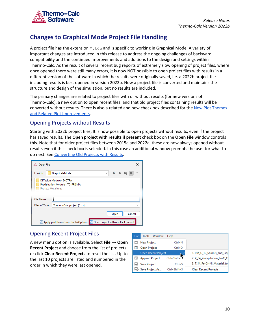

# <span id="page-10-0"></span>**Changes to Graphical Mode Project File Handling**

A project file has the extension  $*$ . tcu and is specific to working in Graphical Mode. A variety of important changes are introduced in this release to address the ongoing challenges of backward compatibility and the continued improvements and additions to the design and settings within Thermo-Calc. As the result of several recent bug reports of extremely slow opening of project files, where once opened there were still many errors, it is now NOT possible to open project files with results in a different version of the software in which the results were originally saved, i.e. a 2022b project file including results is best opened in version 2022b. Now a project file is converted and maintains the structure and design of the simulation, but no results are included.

The primary changes are related to project files with or without results (for new versions of Thermo-Calc), a new option to open recent files, and that old project files containing results will be converted without results. There is also a related and new check box described for the New Plot [Themes](#page-6-0) and Related Plot [Improvements](#page-6-0).

### <span id="page-10-1"></span>Opening Projects without Results

Starting with 2022b project files, It is now possible to open projects without results, even if the project has saved results. The **Open project with results if present** check box on the **Open File** window controls this. Note that for older project files between 2015a and 2022a, these are now always opened without results even if this check box is selected. In this case an additional window prompts the user for what to do next. See [Converting](#page-11-0) Old Projects with Results.

| Open File         | ×                                                                                   |
|-------------------|-------------------------------------------------------------------------------------|
| Look In:          | ШÔ<br><b>Bar 10</b><br>Graphical-Mode<br>$\checkmark$<br>$\overline{\phantom{0}}$   |
|                   | Diffusion Module - DICTRA<br>Precipitation Module - TC-PRISMA<br>Process Metallurgy |
| <b>File Name:</b> |                                                                                     |
| Files of Type:    | Thermo-Calc project [*.tcu]<br>$\checkmark$                                         |
|                   | Cancel<br>Open                                                                      |
|                   | Apply plot theme from Tools/Options   Open project with results if present          |

### <span id="page-10-2"></span>Opening Recent Project Files

A new menu option is available. Select **File → Open Recent Project** and choose from the list of projects or click **Clear Recent Projects** to reset the list. Up to the last 10 projects are listed and numbered in the order in which they were last opened.

| File | <b>Tools</b><br>Window     | Help               |                              |
|------|----------------------------|--------------------|------------------------------|
|      | <b>New Project</b>         | $Ctrl + N$         |                              |
|      | <b>Open Project</b>        | $Ctrl + O$         |                              |
|      | <b>Open Recent Project</b> |                    | 1. PM_G_12_Solidus_and_Liq   |
|      | <b>Append Project</b>      | Ctrl+Shift+C       | 2. P_04_Precipitation_Fe-C_C |
|      | <b>Save Project</b>        | $Ctrl + S$         | 3. T_14_Fe-Cr-Ni_Material_to |
|      | Save Project As            | $Ctrl + Shift + S$ | <b>Clear Recent Projects</b> |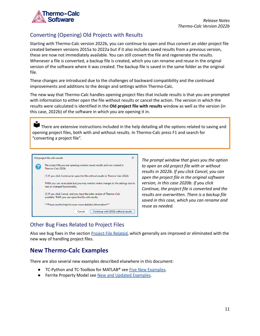

### <span id="page-11-0"></span>Converting (Opening) Old Projects with Results

Starting with Thermo-Calc version 2022b, you can continue to open and thus convert an older project file created between versions 2015a to 2022a but if it also includes saved results from a previous version, these are now not immediately available. You can still convert the file and regenerate the results. Whenever a file is converted, a backup file is created, which you can rename and reuse in the original version of the software where it was created. The backup file is saved in the same folder as the original file.

These changes are introduced due to the challenges of backward compatibility and the continued improvements and additions to the design and settings within Thermo-Calc.

The new way that Thermo-Calc handles opening project files that include results is that you are prompted with information to either open the file without results or cancel the action. The version in which the results were calculated is identified in the **Old project file with results** window as well as the version (in this case, 2022b) of the software in which you are opening it in.

There are extensive instructions included in the help detailing all the options related to saving and opening project files, both with and without results. In Thermo-Calc press F1 and search for "converting a project file".



*The prompt window that gives you the option to open an old project file with or without results in 2022b. If you click Cancel, you can open the project file in the original software version, in this case 2020b. If you click Continue, the project file is converted and the results are overwritten. There is a backup file saved in this case, which you can rename and reuse as needed.*

### <span id="page-11-1"></span>Other Bug Fixes Related to Project Files

Also see bug fixes in the section Project File [Related,](#page-13-2) which generally are improved or eliminated with the new way of handling project files.

## <span id="page-11-2"></span>**New Thermo-Calc Examples**

There are also several new examples described elsewhere in this document:

- TC-Python and TC-Toolbox for MATLAB<sup>®</sup> see Five New [Examples.](#page-19-0)
- *●* Ferrite Property Model see New and Updated [Examples](#page-17-3)*.*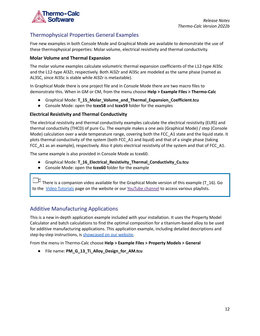

### <span id="page-12-0"></span>Thermophysical Properties General Examples

Five new examples in both Console Mode and Graphical Mode are available to demonstrate the use of these thermophysical properties: Molar volume, electrical resistivity and thermal conductivity.

#### <span id="page-12-1"></span>**Molar Volume and Thermal Expansion**

The molar volume examples calculate volumetric thermal expansion coefficients of the L12-type Al3Sc and the L12-type Al3Zr, respectively. Both Al3Zr and Al3Sc are modeled as the same phase (named as AL3SC, since Al3Sc is stable while Al3Zr is metastable).

In Graphical Mode there is one project file and in Console Mode there are two macro files to demonstrate this. When in GM or CM, from the menu choose **Help > Example Files > Thermo-Calc**

- Graphical Mode: **T\_15\_Molar\_Volume\_and\_Thermal\_Expansion\_Coefficient.tcu**
- Console Mode: open the **tcex58** and **tcex59** folder for the examples

#### <span id="page-12-2"></span>**Electrical Resistivity and Thermal Conductivity**

The electrical resistivity and thermal conductivity examples calculate the electrical resistivity (ELRS) and thermal conductivity (THCD) of pure Cu. The example makes a one axis (Graphical Mode) / step (Console Mode) calculation over a wide temperature range, covering both the FCC\_A1 state and the liquid state. It plots thermal conductivity of the system (both FCC\_A1 and liquid) and that of a single phase (taking FCC\_A1 as an example), respectively. Also it plots electrical resistivity of the system and that of FCC\_A1.

The same example is also provided in Console Mode as tcex60.

- Graphical Mode: **T\_16\_Electrical\_Resistivity\_Thermal\_Conductivity\_Cu.tcu**
- Console Mode: open the **tcex60** folder for the example

There is a companion video available for the Graphical Mode version of this example (T\_16). Go to the Video [Tutorials](https://thermocalc.com/support/video-tutorials/) page on the website or our [YouTube](https://www.youtube.com/channel/UCLTh3apGItuaVK69mrwcpJg/featured) channel to access various playlists.

### <span id="page-12-3"></span>Additive Manufacturing Applications

This is a new in-depth application example included with your installation. It uses the Property Model Calculator and batch calculations to find the optimal composition for a titanium-based alloy to be used for additive manufacturing applications. This application example, including detailed descriptions and step-by-step instructions, is [showcased](https://thermocalc.com/showcase/application-examples/titanium-alloy-design-for-additive-manufacturing) on our website.

From the menu in Thermo-Calc choose **Help > Example Files > Property Models > General**

● File name: **PM\_G\_13\_Ti\_Alloy\_Design\_for\_AM.tcu**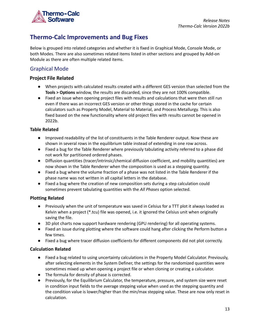

## <span id="page-13-0"></span>**Thermo-Calc Improvements and Bug Fixes**

Below is grouped into related categories and whether it is fixed in Graphical Mode, Console Mode, or both Modes. There are also sometimes related items listed in other sections and grouped by Add-on Module as there are often multiple related items.

### <span id="page-13-1"></span>Graphical Mode

#### <span id="page-13-2"></span>**Project File Related**

- When projects with calculated results created with a different GES version than selected from the **Tools > Options** window, the results are discarded, since they are not 100% compatible.
- Fixed an issue when opening project files with results and calculations that were then still run even if there was an incorrect GES version or other things stored in the cache for certain calculators such as Property Model, Material to Material, and Process Metallurgy. This is also fixed based on the new functionality where old project files with results cannot be opened in 2022b.

#### <span id="page-13-3"></span>**Table Related**

- Improved readability of the list of constituents in the Table Renderer output. Now these are shown in several rows in the equilibrium table instead of extending in one row across.
- Fixed a bug for the Table Renderer where previously tabulating activity referred to a phase did not work for partitioned ordered phases.
- Diffusion quantities (tracer/intrinsic/chemical diffusion coefficient, and mobility quantities) are now shown in the Table Renderer when the composition is used as a stepping quantity.
- Fixed a bug where the volume fraction of a phase was not listed in the Table Renderer if the phase name was not written in all capital letters in the database.
- Fixed a bug where the creation of new composition sets during a step calculation could sometimes prevent tabulating quantities with the *All Phases* option selected.

#### <span id="page-13-4"></span>**Plotting Related**

- Previously when the unit of temperature was saved in Celsius for a TTT plot it always loaded as Kelvin when a project (\*.tcu) file was opened, i.e. it ignored the Celsius unit when originally saving the file.
- 3D plot charts now support hardware rendering (GPU rendering) for all operating systems.
- Fixed an issue during plotting where the software could hang after clicking the Perform button a few times.
- Fixed a bug where tracer diffusion coefficients for different components did not plot correctly.

#### <span id="page-13-5"></span>**Calculation Related**

- Fixed a bug related to using uncertainty calculations in the Property Model Calculator. Previously, after selecting elements in the System Definer, the settings for the randomized quantities were sometimes mixed up when opening a project file or when cloning or creating a calculator.
- The formula for density of phase is corrected.
- Previously, for the Equilibrium Calculator, the temperature, pressure, and system size were reset in condition input fields to the average stepping value when used as the stepping quantity and the condition value is lower/higher than the min/max stepping value. These are now only reset in calculation.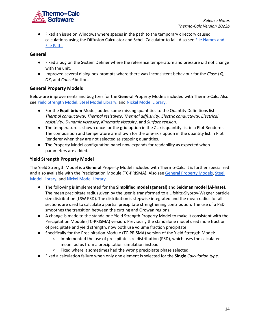

● Fixed an issue on Windows where spaces in the path to the temporary directory caused calculations using the Diffusion Calculator and Scheil Calculator to fail. Also see File [Names](#page-15-2) and File [Paths](#page-15-2).

#### <span id="page-14-0"></span>**General**

- Fixed a bug on the System Definer where the reference temperature and pressure did not change with the unit.
- Improved several dialog box prompts where there was inconsistent behaviour for the *Close* (X), *OK*, and *Cancel* buttons.

#### <span id="page-14-1"></span>**General Property Models**

Below are improvements and bug fixes for the **General** Property Models included with Thermo-Calc. Also see Yield [Strength](#page-14-2) Model, Steel Model [Library,](#page-17-1) and Nickel Model [Library](#page-18-1).

- For the **Equilibrium** Model, added some missing quantities to the Quantity Definitions list: *Thermal conductivity*, *Thermal resistivity*, *Thermal diffusivity*, *Electric conductivity*, *Electrical resistivity*, *Dynamic viscosity*, *Kinematic viscosity*, and *Surface tension*.
- The temperature is shown once for the grid option in the Z-axis quantity list in a Plot Renderer. The composition and temperature are shown for the one-axis option in the quantity list in Plot Renderer when they are not selected as stepping quantities.
- The Property Model configuration panel now expands for readability as expected when parameters are added.

#### <span id="page-14-2"></span>**Yield Strength Property Model**

The Yield Strength Model is a **General** Property Model included with Thermo-Calc. It is further specialized and also available with the Precipitation Module (TC-PRISMA). Also see General [Property](#page-14-1) Models, [Steel](#page-17-1) Model [Library,](#page-17-1) and Nickel Model [Library.](#page-18-1)

- The following is implemented for the **Simplified model (general)** and **Seidman model (Al-base)**. The mean precipitate radius given by the user is transformed to a Lifshitz-Slyozov-Wagner particle size distribution (LSW PSD). The distribution is stepwise integrated and the mean radius for all sections are used to calculate a partial precipitate strengthening contribution. The use of a PSD smoothes the transition between the cutting and Orowan regions.
- A change is made to the standalone Yield Strength Property Model to make it consistent with the Precipitation Module (TC-PRISMA) version. Previously the standalone model used mole fraction of precipitate and yield strength, now both use volume fraction precipitate.
- Specifically for the Precipitation Module (TC-PRISMA) version of the Yield Strength Model:
	- Implemented the use of precipitate size distribution (PSD), which uses the calculated mean radius from a precipitation simulation instead.
	- Fixed where it sometimes had the wrong precipitate phase selected.
- Fixed a calculation failure when only one element is selected for the **Single** *Calculation type*.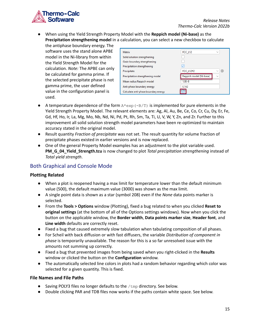

● When using the Yield Strength Property Model with the **Reppich model (Ni-base)** as the **Precipitation strengthening model** in a calculation, you can select a new checkbox to calculate

the antiphase boundary energy. The software uses the stand alone APBE model in the Ni-library from within the Yield Strength Model for the calculation. *Note:* The APBE can only be calculated for gamma prime. If the selected precipitate phase is not gamma prime, the user defined value in the configuration panel is used.

| Matrix                               | FCC_L12<br>$\checkmark$                      |
|--------------------------------------|----------------------------------------------|
| Solid solution strengthening         |                                              |
| Grain boundary strengthening         |                                              |
| Precipitation strengthening          |                                              |
| Precipitate                          | $\oplus$<br>$\checkmark$<br><b>FCC L12#2</b> |
| Precipitation strengthening model    | Reppich model (Ni-base)<br>$\checkmark$      |
| Mean radius Reppich model            | $1.0F - 8$                                   |
| Anti-phase boundary energy           | 0.142                                        |
| Calculate anti-phase boundary energy |                                              |

- A temperature dependence of the form  $A*exp(-B/T)$  is implemented for pure elements in the Yield Strength Property Model. The relevant elements are: Ag, Al, Au, Be, Ce, Co, Cr, Cu, Dy, Er, Fe, Gd, Hf, Ho, Ir, La, Mg, Mo, Nb, Nd, Ni, Pd, Pt, Rh, Sm, Ta, Ti, U, V, W, Y, Zn, and Zr. Further to this improvement all solid solution strength model parameters have been re-optimized to maintain accuracy stated in the original model.
- Result quantity *Fraction of precipitate* was not set. The result quantity for volume fraction of precipitate phases existed in earlier versions and is now replaced.
- One of the general Property Model examples has an adjustment to the plot variable used. **PM\_G\_04\_Yield\_Strength.tcu** is now changed to plot *Total precipitation strengthening* instead of *Total yield strength*.

### <span id="page-15-0"></span>Both Graphical and Console Mode

#### <span id="page-15-1"></span>**Plotting Related**

- When a plot is reopened having a max limit for temperature lower than the default minimum value (500), the default maximum value (3000) was shown as the max limit.
- A single point data is shown as a star (symbol 208) even if the *None* data points marker is selected.
- From the **Tools > Options** window (Plotting), fixed a bug related to when you clicked **Reset to original settings** (at the bottom of all of the Options settings windows). Now when you click the button on the applicable window, the **Border width**, **Data points marker size**, **Header font**, and **Line width** defaults are correctly reset.
- Fixed a bug that caused extremely slow tabulation when tabulating composition of all phases.
- For Scheil with back diffusion or with fast diffusers, the variable *Distribution of component in phase* is temporarily unavailable. The reason for this is a so far unresolved issue with the amounts not summing up correctly.
- Fixed a bug that prevented images from being saved when you right-clicked in the **Results** window or clicked the button on the **Configuration** window.
- The automatically selected line colors in plots had a random behavior regarding which color was selected for a given quantity. This is fixed.

#### <span id="page-15-2"></span>**File Names and File Paths**

- Saving POLY3 files no longer defaults to the  $/\text{tmp}$  directory. See below.
- Double clicking PAR and TDB files now works if the paths contain white space. See below.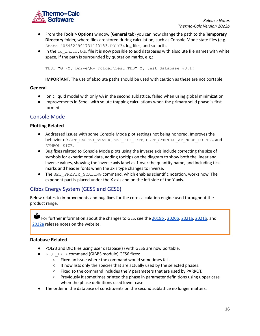

- From the **Tools > Options** window (**General** tab) you can now change the path to the **Temporary Directory** folder, where files are stored during calculation, such as Console Mode state files (e.g. State\_4064824901731140183.POLY3), log files, and so forth.
- In the tc\_initd.tdb file it is now possible to add databases with absolute file names with white space, if the path is surrounded by quotation marks, e.g.:

TEST "G:\My Drive\My Folder\Test.TDB" My test database v0.1!

**IMPORTANT.** The use of absolute paths should be used with caution as these are not portable.

#### <span id="page-16-0"></span>**General**

- Ionic liquid model with only VA in the second sublattice, failed when using global minimization.
- Improvements in Scheil with solute trapping calculations when the primary solid phase is first formed.

#### <span id="page-16-1"></span>Console Mode

#### <span id="page-16-2"></span>**Plotting Related**

- Addressed issues with some Console Mode plot settings not being honored. Improves the behavior of: SET\_RASTER\_STATUS, SET\_TIC\_TYPE, PLOT\_SYMBOLS\_AT\_NODE\_POINTS, and SYMBOL\_SIZE.
- Bug fixes related to Console Mode plots using the inverse axis include correcting the size of symbols for experimental data, adding tooltips on the diagram to show both the linear and inverse values, showing the inverse axis label as 1 over the quantity name, and including tick marks and header fonts when the axis type changes to inverse.
- The SET\_PREFIX\_SCALING command, which enables scientific notation, works now. The exponent part is placed under the X-axis and on the left side of the Y-axis.

### <span id="page-16-3"></span>Gibbs Energy System (GES5 and GES6)

Below relates to improvements and bug fixes for the core calculation engine used throughout the product range.

For further information about the changes to GES, see the [2019b](https://www.thermocalc.com/media/184934/2019b-Thermo-Calc-Release-Notes.pdf), [2020b,](https://www.thermocalc.com/media/242796/2020b-thermo-calc-release-notes.pdf) [2021a,](https://thermocalc.com/content/uploads/Documentation/Release_Notes/2021a-thermo-calc-release-notes.pdf) [2021b,](https://thermocalc.com/content/uploads/Documentation/Release_Notes/2021b-thermo-calc-release-notes.pdf) and [2022a](https://thermocalc.com/content/uploads/Documentation/Release_Notes/2022a-thermo-calc-release-notes.pdf) release notes on the website.

#### <span id="page-16-4"></span>**Database Related**

- POLY3 and DIC files using user database(s) with GES6 are now portable.
- LIST\_DATA command (GIBBS module) GES6 fixes:
	- Fixed an issue where the command would sometimes fail.
	- It now lists only the species that are actually used by the selected phases.
	- Fixed so the command includes the V parameters that are used by PARROT.
	- Previously it sometimes printed the phase in parameter definitions using upper case when the phase definitions used lower case.
- The order in the database of constituents on the second sublattice no longer matters.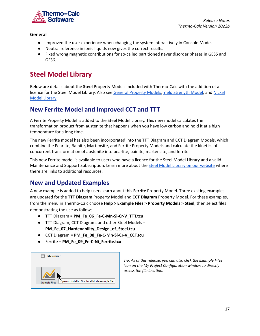

#### <span id="page-17-0"></span>**General**

- Improved the user experience when changing the system interactively in Console Mode.
- Neutral reference in ionic liquids now gives the correct results.
- Fixed wrong magnetic contributions for so-called partitioned never disorder phases in GES5 and GES6.

# <span id="page-17-1"></span>**Steel Model Library**

Below are details about the **Steel** Property Models included with Thermo-Calc with the addition of a licence for the Steel Model Library. Also see General [Property](#page-14-1) Models, Yield [Strength](#page-14-2) Model, and [Nickel](#page-18-1) Model [Library.](#page-18-1)

## <span id="page-17-2"></span>**New Ferrite Model and Improved CCT and TTT**

A Ferrite Property Model is added to the Steel Model Library. This new model calculates the transformation product from austenite that happens when you have low carbon and hold it at a high temperature for a long time.

The new Ferrite model has also been incorporated into the TTT Diagram and CCT Diagram Models, which combine the Pearlite, Bainite, Martensite, and Ferrite Property Models and calculate the kinetics of concurrent transformation of austenite into pearlite, bainite, martensite, and ferrite.

This new Ferrite model is available to users who have a licence for the Steel Model Library and a valid Maintenance and Support Subscription. Learn more about the Steel Model Library on our [website](https://thermocalc.com/products/add-on-modules/steel-model-library/) where there are links to additional resources.

## <span id="page-17-3"></span>**New and Updated Examples**

A new example is added to help users learn about this **Ferrite** Property Model. Three existing examples are updated for the **TTT Diagram** Property Model and **CCT Diagram** Property Model. For these examples, from the menu in Thermo-Calc choose **Help > Example Files > Property Models > Steel**, then select files demonstrating the use as follows.

- TTT Diagram = **PM\_Fe\_06\_Fe-C-Mn-Si-Cr-V\_TTT.tcu**
- TTT Diagram, CCT Diagram, and other Steel Models = **PM\_Fe\_07\_Hardenability\_Design\_of\_Steel.tcu**
- CCT Diagram = **PM\_Fe\_08\_Fe-C-Mn-Si-Cr-V\_CCT.tcu**
- Ferrite = **PM\_Fe\_09\_Fe-C-Ni\_Ferrite.tcu**



*Tip: As of this release, you can also click the Example Files icon on the My Project Configuration window to directly access the file location.*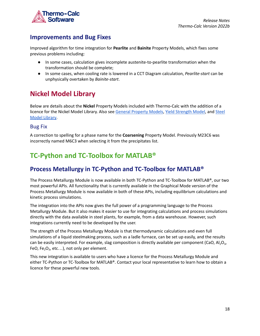

### <span id="page-18-0"></span>**Improvements and Bug Fixes**

Improved algorithm for time integration for **Pearlite** and **Bainite** Property Models, which fixes some previous problems including:

- In some cases, calculation gives incomplete austenite-to-pearlite transformation when the transformation should be complete;
- In some cases, when cooling rate is lowered in a CCT Diagram calculation, *Pearlite-start* can be unphysically overtaken by *Bainite-start*.

# <span id="page-18-1"></span>**Nickel Model Library**

Below are details about the **Nickel** Property Models included with Thermo-Calc with the addition of a licence for the Nickel Model Library. Also see General [Property](#page-14-1) Models, Yield [Strength](#page-14-2) Model, and [Steel](#page-17-1) Model [Library.](#page-17-1)

### <span id="page-18-2"></span>Bug Fix

A correction to spelling for a phase name for the **Coarsening** Property Model. Previously M23C6 was incorrectly named M6C3 when selecting it from the precipitates list.

# <span id="page-18-3"></span>**TC-Python and TC-Toolbox for MATLAB®**

# <span id="page-18-4"></span>**Process Metallurgy in TC-Python and TC-Toolbox for MATLAB®**

The Process Metallurgy Module is now available in both TC-Python and TC-Toolbox for MATLAB®, our two most powerful APIs. All functionality that is currently available in the Graphical Mode version of the Process Metallurgy Module is now available in both of these APIs, including equilibrium calculations and kinetic process simulations.

The integration into the APIs now gives the full power of a programming language to the Process Metallurgy Module. But it also makes it easier to use for integrating calculations and process simulations directly with the data available in steel plants, for example, from a data warehouse. However, such integrations currently need to be developed by the user.

The strength of the Process Metallurgy Module is that thermodynamic calculations and even full simulations of a liquid steelmaking process, such as a ladle furnace, can be set up easily, and the results can be easily interpreted. For example, slag composition is directly available per component (CaO, Al<sub>2</sub>O<sub>3</sub>, FeO,  $Fe<sub>2</sub>O<sub>3</sub>$ , etc...), not only per element.

This new integration is available to users who have a licence for the Process Metallurgy Module and either TC-Python or TC-Toolbox for MATLAB®. Contact your local representative to learn how to obtain a licence for these powerful new tools.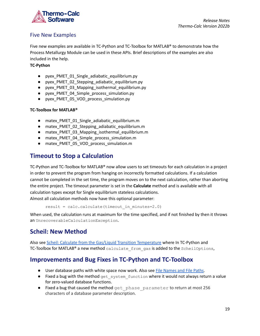

### <span id="page-19-0"></span>Five New Examples

Five new examples are available in TC-Python and TC-Toolbox for MATLAB® to demonstrate how the Process Metallurgy Module can be used in these APIs. Brief descriptions of the examples are also included in the help.

#### **TC-Python**

- pyex\_PMET\_01\_Single\_adiabatic\_equilibrium.py
- pyex\_PMET\_02\_Stepping\_adiabatic\_equilibrium.py
- pyex\_PMET\_03\_Mapping\_isothermal\_equilibrium.py
- pyex\_PMET\_04\_Simple\_process\_simulation.py
- pyex\_PMET\_05\_VOD\_process\_simulation.py

#### **TC-Toolbox for MATLAB®**

- matex\_PMET\_01\_Single\_adiabatic\_equilibrium.m
- matex\_PMET\_02\_Stepping\_adiabatic\_equilibrium.m
- matex\_PMET\_03\_Mapping\_isothermal\_equilibrium.m
- matex\_PMET\_04\_Simple\_process\_simulation.m
- matex\_PMET\_05\_VOD\_process\_simulation.m

## <span id="page-19-1"></span>**Timeout to Stop a Calculation**

TC-Python and TC-Toolbox for MATLAB® now allow users to set timeouts for each calculation in a project in order to prevent the program from hanging on incorrectly formatted calculations. If a calculation cannot be completed in the set time, the program moves on to the next calculation, rather than aborting the entire project. The timeout parameter is set in the **Calculate** method and is available with all calculation types except for Single equilibrium stateless calculations. Almost all calculation methods now have this optional parameter:

```
result = calc.calculate(timeout in minutes=2.0)
```
When used, the calculation runs at maximum for the time specified, and if not finished by then it throws an UnrecoverableCalculationException.

### <span id="page-19-2"></span>**Scheil: New Method**

Also see Scheil: Calculate from the Gas/Liquid Transition [Temperature](#page-9-0) where In TC-Python and TC-Toolbox for MATLAB® a new method calculate from gas is added to the ScheilOptions,

### <span id="page-19-3"></span>**Improvements and Bug Fixes in TC-Python and TC-Toolbox**

- User database paths with white space now work. Also see File [Names](#page-15-2) and File Paths.
- Fixed a bug with the method get system function where it would not always return a value for zero-valued database functions.
- Fixed a bug that caused the method get\_phase\_parameter to return at most 256 characters of a database parameter description.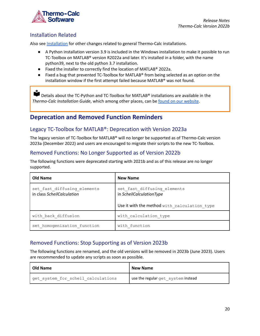

### <span id="page-20-0"></span>Installation Related

Also see [Installation](#page-28-1) for other changes related to general Thermo-Calc installations.

- A Python installation version 3.9 is included in the Windows installation to make it possible to run TC-Toolbox on MATLAB® version R2022a and later. It's installed in a folder, with the name python39, next to the old python 3.7 installation.
- Fixed the installer to correctly find the location of MATLAB® 2022a.
- Fixed a bug that prevented TC-Toolbox for MATLAB® from being selected as an option on the installation window if the first attempt failed because MATLAB® was not found.

Details about the TC-Python and TC-Toolbox for MATLAB<sup>®</sup> installations are available in the *Thermo-Calc Installation Guide*, which among other places, can be found on our [website](https://thermocalc.com/content/uploads/Documentation/Current_Static/thermo-calc-installation-guides.pdf).

## <span id="page-20-1"></span>**Deprecation and Removed Function Reminders**

### <span id="page-20-2"></span>Legacy TC-Toolbox for MATLAB®: Deprecation with Version 2023a

The legacy version of TC-Toolbox for MATLAB® will no longer be supported as of Thermo-Calc version 2023a (December 2022) and users are encouraged to migrate their scripts to the new TC-Toolbox.

### <span id="page-20-3"></span>Removed Functions: No Longer Supported as of Version 2022b

The following functions were deprecated starting with 2021b and as of this release are no longer supported.

| Old Name                                                  | <b>New Name</b>                                         |  |  |
|-----------------------------------------------------------|---------------------------------------------------------|--|--|
| set fast diffusing elements<br>in class ScheilCalculation | set fast diffusing elements<br>in ScheilCalculationType |  |  |
|                                                           | Use it with the method with calculation type            |  |  |
| with back diffusion                                       | with calculation type                                   |  |  |
| set homogenization function                               | with function                                           |  |  |

### <span id="page-20-4"></span>Removed Functions: Stop Supporting as of Version 2023b

The following functions are renamed, and the old versions will be removed in 2023b (June 2023). Users are recommended to update any scripts as soon as possible.

| <b>Old Name</b>                    | <b>New Name</b>                    |
|------------------------------------|------------------------------------|
| get system for scheil calculations | use the regular get system instead |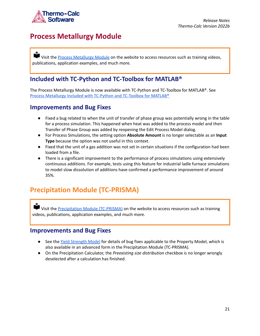

# <span id="page-21-0"></span>**Process Metallurgy Module**

Visit the **Process [Metallurgy](https://thermocalc.com/products/add-on-modules/process-metallurgy-module/) Module** on the website to access resources such as training videos, publications, application examples, and much more.

## **Included with TC-Python and TC-Toolbox for MATLAB®**

The Process Metallurgy Module is now available with TC-Python and TC-Toolbox for MATLAB®. See Process Metallurgy Included with TC-Python and [TC-Toolbox](#page-18-4) for MATLAB®

### <span id="page-21-1"></span>**Improvements and Bug Fixes**

- Fixed a bug related to when the unit of transfer of phase group was potentially wrong in the table for a process simulation. This happened when heat was added to the process model and then Transfer of Phase Group was added by reopening the Edit Process Model dialog.
- For Process Simulations, the setting option **Absolute Amount** is no longer selectable as an **Input Type** because the option was not useful in this context.
- Fixed that the unit of a gas addition was not set in certain situations if the configuration had been loaded from a file.
- There is a significant improvement to the performance of process simulations using extensively continuous additions. For example, tests using this feature for industrial ladle furnace simulations to model slow dissolution of additions have confirmed a performance improvement of around 35%.

# <span id="page-21-2"></span>**Precipitation Module (TC-PRISMA)**

Visit the [Precipitation](https://thermocalc.com/products/add-on-modules/precipitation-module-tc-prisma/) Module (TC-PRISMA) on the website to access resources such as training videos, publications, application examples, and much more.

### <span id="page-21-3"></span>**Improvements and Bug Fixes**

- See the Yield [Strength](#page-14-2) Model for details of bug fixes applicable to the Property Model, which is also available in an advanced form in the Precipitation Module (TC-PRISMA).
- On the Precipitation Calculator, the *Preexisting size distribution* checkbox is no longer wrongly deselected after a calculation has finished.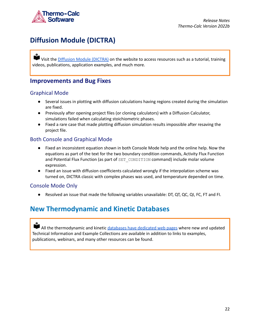

# <span id="page-22-0"></span>**Diffusion Module (DICTRA)**

Visit the *[DIffusion](https://thermocalc.com/products/add-on-modules/diffusion-module-dictra/) Module (DICTRA)* on the website to access resources such as a tutorial, training videos, publications, application examples, and much more.

### <span id="page-22-1"></span>**Improvements and Bug Fixes**

### <span id="page-22-2"></span>Graphical Mode

- Several issues in plotting with diffusion calculations having regions created during the simulation are fixed.
- Previously after opening project files (or cloning calculators) with a Diffusion Calculator, simulations failed when calculating stoichiometric phases.
- Fixed a rare case that made plotting diffusion simulation results impossible after resaving the project file.

### <span id="page-22-3"></span>Both Console and Graphical Mode

- Fixed an inconsistent equation shown in both Console Mode help and the online help. Now the equations as part of the text for the two boundary condition commands, Activity Flux Function and Potential Flux Function (as part of SET\_CONDITION command) include molar volume expression.
- Fixed an issue with diffusion coefficients calculated wrongly if the interpolation scheme was turned on, DICTRA classic with complex phases was used, and temperature depended on time.

### <span id="page-22-4"></span>Console Mode Only

● Resolved an issue that made the following variables unavailable: DT, QT, QC, QI, FC, FT and FI.

# <span id="page-22-5"></span>**New Thermodynamic and Kinetic Databases**

All the thermodynamic and kinetic [databases](https://thermocalc.com/products/databases/) have dedicated web pages where new and updated Technical Information and Example Collections are available in addition to links to examples, publications, webinars, and many other resources can be found.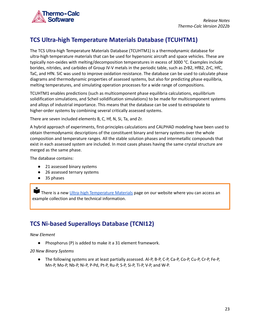

# <span id="page-23-0"></span>**TCS Ultra-high Temperature Materials Database (TCUHTM1)**

The TCS Ultra-high Temperature Materials Database (TCUHTM1) is a thermodynamic database for ultra-high temperature materials that can be used for hypersonic aircraft and space vehicles. These are typically non-oxides with melting/decomposition temperatures in excess of 3000 °C. Examples include borides, nitrides, and carbides of Group IV-V metals in the periodic table, such as ZrB2, HfB2, ZrC, HfC, TaC, and HfN. SiC was used to improve oxidation resistance. The database can be used to calculate phase diagrams and thermodynamic properties of assessed systems, but also for predicting phase equilibria, melting temperatures, and simulating operation processes for a wide range of compositions.

TCUHTM1 enables predictions (such as multicomponent phase equilibria calculations, equilibrium solidification simulations, and Scheil solidification simulations) to be made for multicomponent systems and alloys of industrial importance. This means that the database can be used to extrapolate to higher-order systems by combining several critically assessed systems.

There are seven included elements B, C, Hf, N, Si, Ta, and Zr.

A hybrid approach of experiments, first-principles calculations and CALPHAD modeling have been used to obtain thermodynamic descriptions of the constituent binary and ternary systems over the whole composition and temperature ranges. All the stable solution phases and intermetallic compounds that exist in each assessed system are included. In most cases phases having the same crystal structure are merged as the same phase.

The database contains:

- 21 assessed binary systems
- 26 assessed ternary systems
- 35 phases

There is a new Ultra-high [Temperature](https://thermocalc.com/products/databases/ultra-high-temperature-materials/) Materials page on our website where you can access an example collection and the technical information.

# <span id="page-23-1"></span>**TCS Ni-based Superalloys Database (TCNI12)**

#### *New Element*

Phosphorus (P) is added to make it a 31 element framework.

#### *20 New Binary Systems*

● The following systems are at least partially assessed. Al-P, B-P, C-P, Ca-P, Co-P, Cu-P, Cr-P, Fe-P, Mn-P, Mo-P, Nb-P, Ni-P, P-Pd, Pt-P, Ru-P, S-P, Si-P, Ti-P, V-P, and W-P.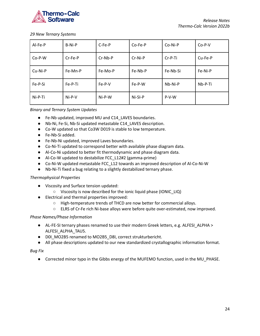

*29 New Ternary Systems*

| Al-Fe-P  | B-Ni-P  | C-Fe-P    | Co-Fe-P | Co-Ni-P   | $Co-P-V$ |
|----------|---------|-----------|---------|-----------|----------|
| $Co-P-W$ | Cr-Fe-P | $Cr-Nb-P$ | Cr-Ni-P | $Cr-P-Ti$ | Cu-Fe-P  |
| Cu-Ni-P  | Fe-Mn-P | Fe-Mo-P   | Fe-Nb-P | Fe-Nb-Si  | Fe-Ni-P  |
| Fe-P-Si  | Fe-P-Ti | $Fe-P-V$  | Fe-P-W  | $Nb-Ni-P$ | Nb-P-Ti  |
| Ni-P-Ti  | Ni-P-V  | Ni-P-W    | Ni-SI-P | P-V-W     |          |

#### *Binary and Ternary System Updates*

- Fe-Nb updated, improved MU and C14\_LAVES boundaries.
- Nb-Ni, Fe-Si, Nb-Si updated metastable C14\_LAVES description.
- Co-W updated so that Co3W D019 is stable to low temperature.
- Fe-Nb-Si added.
- Fe-Nb-Ni updated, improved Laves boundaries.
- Co-Ni-Ti updated to correspond better with available phase diagram data.
- Al-Co-Ni updated to better fit thermodynamic and phase diagram data.
- Al-Co-W updated to destabilize FCC\_L12#2 (gamma-prime)
- Co-Ni-W updated metastable FCC\_L12 towards an improved description of Al-Co-Ni-W
- Nb-Ni-Ti fixed a bug relating to a slightly destabilized ternary phase.

#### *Thermophysical Properties*

- Viscosity and Surface tension updated:
	- Viscosity is now described for the ionic liquid phase (IONIC\_LIQ)
- Electrical and thermal properties improved:
	- High-temperature trends of THCD are now better for commercial alloys.
	- ELRS of Cr-Fe rich Ni-base alloys were before quite over-estimated, now improved.

#### *Phase Names/Phase Information*

- AL-FE-SI ternary phases renamed to use their modern Greek letters, e.g. ALFESI\_ALPHA > ALFESI\_ALPHA\_TAU5.
- D0I\_MO2B5 renamed to MO2B5\_D8I, correct strukturbericht.
- All phase descriptions updated to our new standardized crystallographic information format.

#### *Bug Fix*

● Corrected minor typo in the Gibbs energy of the MUFEMO function, used in the MU\_PHASE.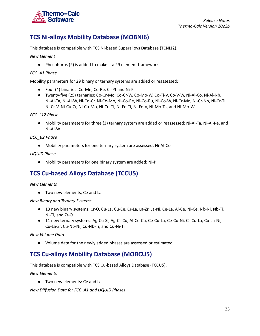

# <span id="page-25-0"></span>**TCS Ni-alloys Mobility Database (MOBNI6)**

This database is compatible with TCS Ni-based Superalloys Database (TCNI12).

*New Element*

● Phosphorus (P) is added to make it a 29 element framework.

#### *FCC\_A1 Phase*

Mobility parameters for 29 binary or ternary systems are added or reassessed:

- Four (4) binaries: Co-Mn, Co-Re, Cr-Pt and Ni-P
- Twenty-five (25) ternaries: Co-Cr-Mo, Co-Cr-W, Co-Mo-W, Co-Ti-V, Co-V-W, Ni-Al-Co, Ni-Al-Nb, Ni-Al-Ta, Ni-Al-W, Ni-Co-Cr, Ni-Co-Mo, Ni-Co-Re, Ni-Co-Ru, Ni-Co-W, Ni-Cr-Mo, Ni-Cr-Nb, Ni-Cr-Ti, Ni-Cr-V, Ni-Cu-Cr, Ni-Cu-Mo, Ni-Cu-Ti, Ni-Fe-Ti, Ni-Fe-V, Ni-Mo-Ta, and Ni-Mo-W

*FCC\_L12 Phase*

● Mobility parameters for three (3) ternary system are added or reassessed: Ni-Al-Ta, Ni-Al-Re, and Ni-Al-W

*BCC\_B2 Phase*

● Mobility parameters for one ternary system are assessed: Ni-Al-Co

*LIQUID Phase*

● Mobility parameters for one binary system are added: Ni-P

# <span id="page-25-1"></span>**TCS Cu-based Alloys Database (TCCU5)**

*New Elements*

● Two new elements, Ce and La.

*New Binary and Ternary Systems*

- 13 new binary systems: Cr-O, Cu-La, Cu-Ce, Cr-La, La-Zr, La-Ni, Ce-La, Al-Ce, Ni-Ce, Nb-Ni, Nb-Ti, Ni-Ti, and Zr-O
- 11 new ternary systems: Ag-Cu-Si, Ag-Cr-Cu, Al-Ce-Cu, Ce-Cu-La, Ce-Cu-Ni, Cr-Cu-La, Cu-La-Ni, Cu-La-Zr, Cu-Nb-Ni, Cu-Nb-Ti, and Cu-Ni-Ti

*New Volume Data*

● Volume data for the newly added phases are assessed or estimated.

## <span id="page-25-2"></span>**TCS Cu-alloys Mobility Database (MOBCU5)**

This database is compatible with TCS Cu-based Alloys Database (TCCU5).

*New Elements*

● Two new elements: Ce and La.

*New Diffusion Data for FCC\_A1 and LIQUID Phases*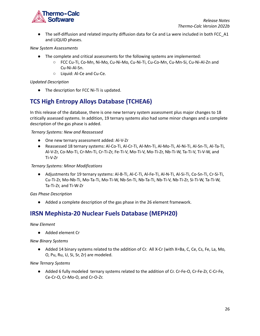

● The self-diffusion and related impurity diffusion data for Ce and La were included in both FCC\_A1 and LIQUID phases.

#### *New System Assessments*

- The complete and critical assessments for the following systems are implemented:
	- FCC Cu-Ti, Co-Mn, Ni-Mo, Cu-Ni-Mo, Cu-Ni-Ti, Cu-Co-Mn, Cu-Mn-Si, Cu-Ni-Al-Zn and Cu-Ni-Al-Sn.
	- Liquid: Al-Ce and Cu-Ce.

#### *Updated Description*

● The description for FCC Ni-Ti is updated.

# <span id="page-26-0"></span>**TCS High Entropy Alloys Database (TCHEA6)**

In this release of the database, there is one new ternary system assessment plus major changes to 18 critically assessed systems. In addition, 19 ternary systems also had some minor changes and a complete description of the gas phase is added.

*Ternary Systems: New and Reassessed*

- One new ternary assessment added: Al-V-Zr
- Reassessed 18 ternary systems: Al-Co-Ti, Al-Cr-Ti, Al-Mn-Ti, Al-Mo-Ti, Al-Ni-Ti, Al-Sn-Ti, Al-Ta-Ti, Al-V-Zr, Co-Mo-Ti, Cr-Mn-Ti, Cr-Ti-Zr, Fe-Ti-V, Mo-Ti-V, Mo-Ti-Zr, Nb-Ti-W, Ta-Ti-V, Ti-V-W, and Ti-V-Zr

*Ternary Systems: Minor Modifications*

● Adjustments for 19 ternary systems: Al-B-Ti, Al-C-Ti, Al-Fe-Ti, Al-N-Ti, Al-Si-Ti, Co-Sn-Ti, Cr-Si-Ti, Cu-Ti-Zr, Mo-Nb-Ti, Mo-Ta-Ti, Mo-Ti-W, Nb-Sn-Ti, Nb-Ta-Ti, Nb-Ti-V, Nb-Ti-Zr, Si-Ti-W, Ta-Ti-W, Ta-Ti-Zr, and Ti-W-Zr

*Gas Phase Description*

● Added a complete description of the gas phase in the 26 element framework.

## <span id="page-26-1"></span>**IRSN Mephista-20 Nuclear Fuels Database (MEPH20)**

*New Element*

● Added element Cr

*New Binary Systems*

● Added 14 binary systems related to the addition of Cr. All X-Cr (with X=Ba, C, Ce, Cs, Fe, La, Mo, O, Pu, Ru, U, Si, Sr, Zr) are modeled.

*New Ternary Systems*

● Added 6 fully modeled ternary systems related to the addition of Cr. Cr-Fe-O, Cr-Fe-Zr, C-Cr-Fe, Ce-Cr-O, Cr-Mo-O, and Cr-O-Zr.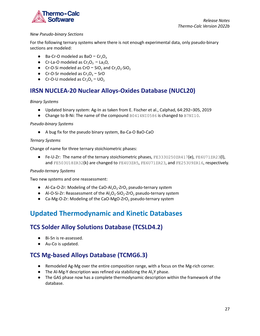

#### *New Pseudo-binary Sections*

For the following ternary systems where there is not enough experimental data, only pseudo-binary sections are modeled:

- $\bullet$  Ba-Cr-O modeled as BaO − Cr<sub>2</sub>O<sub>3</sub>
- Cr-La-O modeled as  $Cr_2O_3$  La<sub>2</sub>O,
- $\bullet$  Cr-O-Si modeled as CrO − SiO<sub>2</sub> and Cr<sub>2</sub>O<sub>3</sub>-SiO<sub>2</sub>
- Cr-O-Sr modeled as  $Cr_2O_3$  SrO
- Cr-O-U modeled as  $Cr_2O_3$  UO<sub>2</sub>

## <span id="page-27-0"></span>**IRSN NUCLEA-20 Nuclear Alloys-Oxides Database (NUCL20)**

#### *Binary Systems*

- Updated binary system: Ag-In as taken from E. Fischer et al., Calphad, 64:292–305, 2019
- Change to B-Ni: The name of the compound B0414NI0586 is changed to B7NI10.

#### *Pseudo-binary Systems*

● A bug fix for the pseudo binary system, Ba-Ca-O BaO-CaO

#### *Ternary Systems*

Change of name for three ternary stoichiometric phases:

 $\bullet$  Fe-U-Zr: The name of the ternary stoichiometric phases, FE333U250ZR417(e), FE6U71ZR23(I), and FE503U18ZR32(k) are changed to FE4U3ZR5, FE6U71ZR23, and FE253U9ZR16, respectively.

#### *Pseudo-ternary Systems*

Two new systems and one reassessment:

- $\bullet$  Al-Ca-O-Zr: Modeling of the CaO-Al<sub>2</sub>O<sub>3</sub>-ZrO<sub>2</sub> pseudo-ternary system
- Al-O-Si-Zr: Reassessment of the  $Al_2O_3$ -SiO<sub>2</sub>-ZrO<sub>2</sub> pseudo-ternary system
- Ca-Mg-O-Zr: Modeling of the CaO-MgO-ZrO<sub>2</sub> pseudo-ternary system

# <span id="page-27-1"></span>**Updated Thermodynamic and Kinetic Databases**

## <span id="page-27-2"></span>**TCS Solder Alloy Solutions Database (TCSLD4.2)**

- Bi-Sn is re-assessed.
- Au-Co is updated.

## <span id="page-27-3"></span>**TCS Mg-based Alloys Database (TCMG6.3)**

- Remodeled Ag-Mg over the entire composition range, with a focus on the Mg-rich corner.
- $\bullet$  The Al-Mg-Y description was refined via stabilizing the Al<sub>2</sub>Y phase.
- The GAS phase now has a complete thermodynamic description within the framework of the database.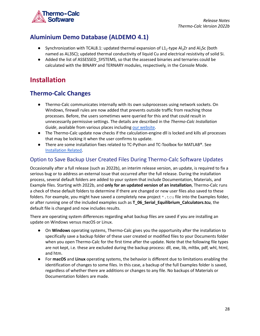

# <span id="page-28-0"></span>**Aluminium Demo Database (ALDEMO 4.1)**

- Synchronization with TCAL8.1: updated thermal expansion of  $L1_2$ -type Al<sub>3</sub>Zr and Al<sub>3</sub>Sc (both named as AL3SC); updated thermal conductivity of liquid Cu and electrical resistivity of solid Si.
- Added the list of ASSESSED\_SYSTEMS, so that the assessed binaries and ternaries could be calculated with the BINARY and TERNARY modules, respectively, in the Console Mode.

# <span id="page-28-1"></span>**Installation**

## <span id="page-28-2"></span>**Thermo-Calc Changes**

- Thermo-Calc communicates internally with its own subprocesses using network sockets. On Windows, firewall rules are now added that prevents outside traffic from reaching those processes. Before, the users sometimes were queried for this and that could result in unnecessarily permissive settings. The details are described in the *Thermo-Calc Installation* Guide, available from various places including our [website.](https://thermocalc.com/content/uploads/Documentation/Current_Static/thermo-calc-installation-guides.pdf)
- The Thermo-Calc update now checks if the calculation-engine dll is locked and kills all processes that may be locking it when the user confirms to update.
- There are some installation fixes related to TC-Python and TC-Toolbox for MATLAB®. See [Installation](#page-20-0) Related.

### <span id="page-28-3"></span>Option to Save Backup User Created Files During Thermo-Calc Software Updates

Occasionally after a full release (such as 2022b), an interim release version, an update, is required to fix a serious bug or to address an external issue that occurred after the full release. During the installation process, several default folders are added to your system that include Documentation, Materials, and Example files. Starting with 2022b, and **only for an updated version of an installation**, Thermo-Calc runs a check of these default folders to determine if there are changed or new user files also saved to these folders. For example, you might have saved a completely new project  $*$ . to file into the Examples folder, or after running one of the included examples such as **T\_06\_Serial\_Equilibrium\_Calculators.tcu**, the default file is changed and now includes results.

There are operating system differences regarding what backup files are saved if you are installing an update on Windows versus macOS or Linux.

- On **Windows** operating systems, Thermo-Calc gives you the opportunity after the installation to specifically save a backup folder of these user created or modified files to your Documents folder when you open Thermo-Calc for the first time after the update. Note that the following file types are not kept, i.e. these are excluded during the backup process: dll, exe, lib, mltbx, pdf, whl, html, and htm.
- For **macOS** and **Linux** operating systems, the behavior is different due to limitations enabling the identification of changes to some files. In this case, a backup of the full Examples folder is saved, regardless of whether there are additions or changes to any file. No backups of Materials or Documentation folders are made.